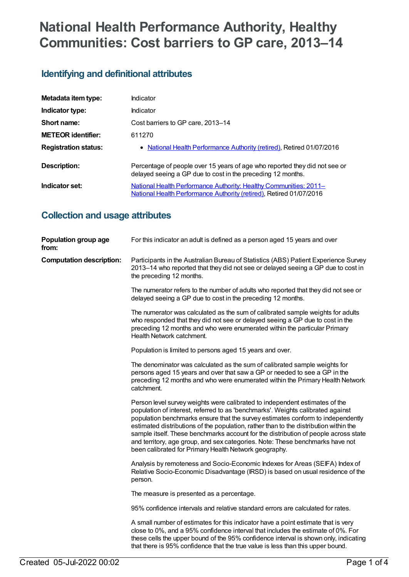# **National Health Performance Authority, Healthy Communities: Cost barriers to GP care, 2013–14**

# **Identifying and definitional attributes**

| Metadata item type:         | Indicator                                                                                                                                       |
|-----------------------------|-------------------------------------------------------------------------------------------------------------------------------------------------|
| Indicator type:             | Indicator                                                                                                                                       |
| Short name:                 | Cost barriers to GP care, 2013-14                                                                                                               |
| <b>METEOR identifier:</b>   | 611270                                                                                                                                          |
| <b>Registration status:</b> | • National Health Performance Authority (retired), Retired 01/07/2016                                                                           |
| Description:                | Percentage of people over 15 years of age who reported they did not see or<br>delayed seeing a GP due to cost in the preceding 12 months.       |
| Indicator set:              | National Health Performance Authority: Healthy Communities: 2011-<br><b>National Health Performance Authority (retired), Retired 01/07/2016</b> |

# **Collection and usage attributes**

| Population group age<br>from:   | For this indicator an adult is defined as a person aged 15 years and over                                                                                                                                                                                                                                                                                                                                                                                                                                                                                                   |
|---------------------------------|-----------------------------------------------------------------------------------------------------------------------------------------------------------------------------------------------------------------------------------------------------------------------------------------------------------------------------------------------------------------------------------------------------------------------------------------------------------------------------------------------------------------------------------------------------------------------------|
| <b>Computation description:</b> | Participants in the Australian Bureau of Statistics (ABS) Patient Experience Survey<br>2013–14 who reported that they did not see or delayed seeing a GP due to cost in<br>the preceding 12 months.                                                                                                                                                                                                                                                                                                                                                                         |
|                                 | The numerator refers to the number of adults who reported that they did not see or<br>delayed seeing a GP due to cost in the preceding 12 months.                                                                                                                                                                                                                                                                                                                                                                                                                           |
|                                 | The numerator was calculated as the sum of calibrated sample weights for adults<br>who responded that they did not see or delayed seeing a GP due to cost in the<br>preceding 12 months and who were enumerated within the particular Primary<br>Health Network catchment.                                                                                                                                                                                                                                                                                                  |
|                                 | Population is limited to persons aged 15 years and over.                                                                                                                                                                                                                                                                                                                                                                                                                                                                                                                    |
|                                 | The denominator was calculated as the sum of calibrated sample weights for<br>persons aged 15 years and over that saw a GP or needed to see a GP in the<br>preceding 12 months and who were enumerated within the Primary Health Network<br>catchment.                                                                                                                                                                                                                                                                                                                      |
|                                 | Person level survey weights were calibrated to independent estimates of the<br>population of interest, referred to as 'benchmarks'. Weights calibrated against<br>population benchmarks ensure that the survey estimates conform to independently<br>estimated distributions of the population, rather than to the distribution within the<br>sample itself. These benchmarks account for the distribution of people across state<br>and territory, age group, and sex categories. Note: These benchmarks have not<br>been calibrated for Primary Health Network geography. |
|                                 | Analysis by remoteness and Socio-Economic Indexes for Areas (SEIFA) Index of<br>Relative Socio-Economic Disadvantage (IRSD) is based on usual residence of the<br>person.                                                                                                                                                                                                                                                                                                                                                                                                   |
|                                 | The measure is presented as a percentage.                                                                                                                                                                                                                                                                                                                                                                                                                                                                                                                                   |
|                                 | 95% confidence intervals and relative standard errors are calculated for rates.                                                                                                                                                                                                                                                                                                                                                                                                                                                                                             |
|                                 | A small number of estimates for this indicator have a point estimate that is very<br>close to 0%, and a 95% confidence interval that includes the estimate of 0%. For<br>these cells the upper bound of the 95% confidence interval is shown only, indicating<br>that there is 95% confidence that the true value is less than this upper bound.                                                                                                                                                                                                                            |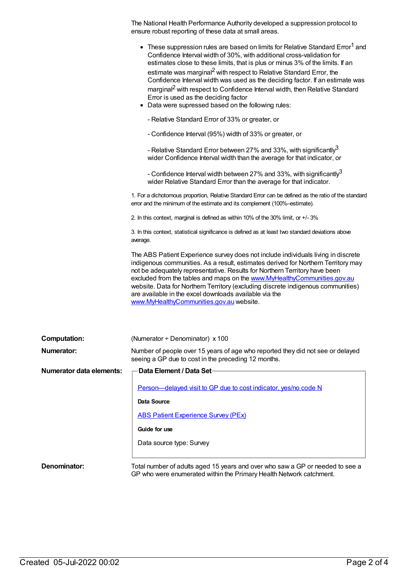The National Health Performance Authority developed a suppression protocol to ensure robust reporting of these data at small areas.

|                                 | These suppression rules are based on limits for Relative Standard Error <sup>1</sup> and<br>Confidence Interval width of 30%, with additional cross-validation for<br>estimates close to these limits, that is plus or minus 3% of the limits. If an<br>estimate was marginal <sup>2</sup> with respect to Relative Standard Error, the<br>Confidence Interval width was used as the deciding factor. If an estimate was<br>marginal <sup>2</sup> with respect to Confidence Interval width, then Relative Standard<br>Error is used as the deciding factor<br>• Data were supressed based on the following rules:<br>- Relative Standard Error of 33% or greater, or<br>- Confidence Interval (95%) width of 33% or greater, or<br>- Relative Standard Error between 27% and 33%, with significantly <sup>3</sup><br>wider Confidence Interval width than the average for that indicator, or<br>- Confidence Interval width between 27% and 33%, with significantly <sup>3</sup><br>wider Relative Standard Error than the average for that indicator.<br>1. For a dichotomous proportion, Relative Standard Error can be defined as the ratio of the standard<br>error and the minimum of the estimate and its complement (100%-estimate).<br>2. In this context, marginal is defined as within 10% of the 30% limit, or +/- 3%<br>3. In this context, statistical significance is defined as at least two standard deviations above<br>average.<br>The ABS Patient Experience survey does not include individuals living in discrete<br>indigenous communities. As a result, estimates derived for Northern Territory may<br>not be adequately representative. Results for Northern Territory have been<br>excluded from the tables and maps on the www.MyHealthyCommunities.gov.au<br>website. Data for Northern Territory (excluding discrete indigenous communities)<br>are available in the excel downloads available via the<br>www.MyHealthyCommunities.gov.au website. |
|---------------------------------|----------------------------------------------------------------------------------------------------------------------------------------------------------------------------------------------------------------------------------------------------------------------------------------------------------------------------------------------------------------------------------------------------------------------------------------------------------------------------------------------------------------------------------------------------------------------------------------------------------------------------------------------------------------------------------------------------------------------------------------------------------------------------------------------------------------------------------------------------------------------------------------------------------------------------------------------------------------------------------------------------------------------------------------------------------------------------------------------------------------------------------------------------------------------------------------------------------------------------------------------------------------------------------------------------------------------------------------------------------------------------------------------------------------------------------------------------------------------------------------------------------------------------------------------------------------------------------------------------------------------------------------------------------------------------------------------------------------------------------------------------------------------------------------------------------------------------------------------------------------------------------------------------------------------------------------------------------------------------------|
| <b>Computation:</b>             | (Numerator $\div$ Denominator) x 100                                                                                                                                                                                                                                                                                                                                                                                                                                                                                                                                                                                                                                                                                                                                                                                                                                                                                                                                                                                                                                                                                                                                                                                                                                                                                                                                                                                                                                                                                                                                                                                                                                                                                                                                                                                                                                                                                                                                             |
| Numerator:                      | Number of people over 15 years of age who reported they did not see or delayed<br>seeing a GP due to cost in the preceding 12 months.                                                                                                                                                                                                                                                                                                                                                                                                                                                                                                                                                                                                                                                                                                                                                                                                                                                                                                                                                                                                                                                                                                                                                                                                                                                                                                                                                                                                                                                                                                                                                                                                                                                                                                                                                                                                                                            |
| <b>Numerator data elements:</b> | Data Element / Data Set-                                                                                                                                                                                                                                                                                                                                                                                                                                                                                                                                                                                                                                                                                                                                                                                                                                                                                                                                                                                                                                                                                                                                                                                                                                                                                                                                                                                                                                                                                                                                                                                                                                                                                                                                                                                                                                                                                                                                                         |
|                                 | Person-delayed visit to GP due to cost indicator, yes/no code N                                                                                                                                                                                                                                                                                                                                                                                                                                                                                                                                                                                                                                                                                                                                                                                                                                                                                                                                                                                                                                                                                                                                                                                                                                                                                                                                                                                                                                                                                                                                                                                                                                                                                                                                                                                                                                                                                                                  |
|                                 | <b>Data Source</b>                                                                                                                                                                                                                                                                                                                                                                                                                                                                                                                                                                                                                                                                                                                                                                                                                                                                                                                                                                                                                                                                                                                                                                                                                                                                                                                                                                                                                                                                                                                                                                                                                                                                                                                                                                                                                                                                                                                                                               |
|                                 | <b>ABS Patient Experience Survey (PEx)</b>                                                                                                                                                                                                                                                                                                                                                                                                                                                                                                                                                                                                                                                                                                                                                                                                                                                                                                                                                                                                                                                                                                                                                                                                                                                                                                                                                                                                                                                                                                                                                                                                                                                                                                                                                                                                                                                                                                                                       |
|                                 | Guide for use                                                                                                                                                                                                                                                                                                                                                                                                                                                                                                                                                                                                                                                                                                                                                                                                                                                                                                                                                                                                                                                                                                                                                                                                                                                                                                                                                                                                                                                                                                                                                                                                                                                                                                                                                                                                                                                                                                                                                                    |
|                                 | Data source type: Survey                                                                                                                                                                                                                                                                                                                                                                                                                                                                                                                                                                                                                                                                                                                                                                                                                                                                                                                                                                                                                                                                                                                                                                                                                                                                                                                                                                                                                                                                                                                                                                                                                                                                                                                                                                                                                                                                                                                                                         |
| Denominator:                    | Total number of adults aged 15 years and over who saw a GP or needed to see a                                                                                                                                                                                                                                                                                                                                                                                                                                                                                                                                                                                                                                                                                                                                                                                                                                                                                                                                                                                                                                                                                                                                                                                                                                                                                                                                                                                                                                                                                                                                                                                                                                                                                                                                                                                                                                                                                                    |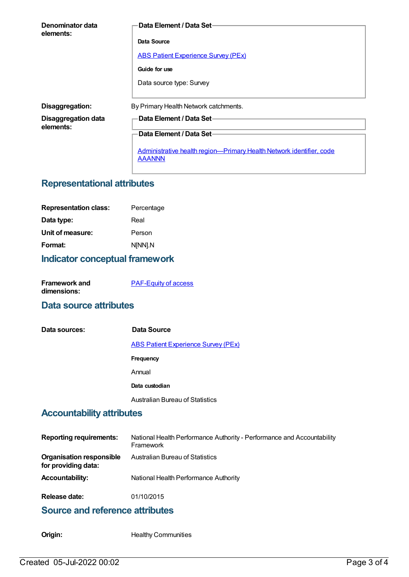| Denominator data<br>elements:           | Data Element / Data Set-                                                              |
|-----------------------------------------|---------------------------------------------------------------------------------------|
|                                         | Data Source                                                                           |
|                                         | <b>ABS Patient Experience Survey (PEx)</b>                                            |
|                                         | Guide for use                                                                         |
|                                         | Data source type: Survey                                                              |
| Disaggregation:                         | By Primary Health Network catchments.                                                 |
| <b>Disaggregation data</b><br>elements: | Data Element / Data Set-                                                              |
|                                         | Data Element / Data Set-                                                              |
|                                         | Administrative health region-Primary Health Network identifier, code<br><b>AAANNN</b> |

# **Representational attributes**

| <b>Representation class:</b> | Percentage |
|------------------------------|------------|
| Data type:                   | Real       |
| Unit of measure:             | Person     |
| Format:                      | N[NN].N    |

#### **Indicator conceptual framework**

| <b>Framework and</b> | <b>PAF-Equity of access</b> |
|----------------------|-----------------------------|
| dimensions:          |                             |

#### **Data source attributes**

| Data sources: | Data Source                                |
|---------------|--------------------------------------------|
|               | <b>ABS Patient Experience Survey (PEx)</b> |
|               | <b>Frequency</b>                           |
|               | Annual                                     |
|               | Data custodian                             |
|               | <b>Australian Bureau of Statistics</b>     |

# **Accountability attributes**

| <b>Reporting requirements:</b>                         | National Health Performance Authority - Performance and Accountability<br>Framework |
|--------------------------------------------------------|-------------------------------------------------------------------------------------|
| <b>Organisation responsible</b><br>for providing data: | Australian Bureau of Statistics                                                     |
| <b>Accountability:</b>                                 | National Health Performance Authority                                               |
| Release date:                                          | 01/10/2015                                                                          |

### **Source and reference attributes**

**Origin:** Healthy Communities